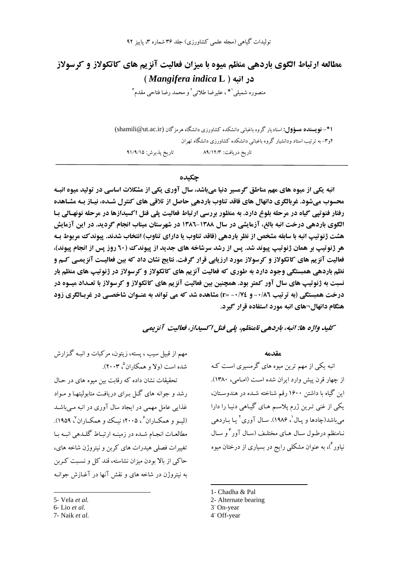تولیدات گیاهی (مجله علمی کشاورزی) جلد ۳۶ شماره ۳، پاییز ۹۲

# مطالعه ارتباط الگوی باردهی منظم میوه با میزان فعالیت آنزیم های کاتکولاز و کرسولاز در انيه ( Mangifera indica L)

منصوره شميلي `\* ، عليرضا طلائي ` و محمد رضا فتاحي مقدم ``

**ا\*– نویسنده هسؤول:** استادیار گروه باغبانی دانشکده کشاورزی دانشگاه هرمزگان (shamili@ut.ac.ir) ۲و۳– به ترتیب استاد ودانشیار گروه باغبانی دانشکده کشاورزی دانشگاه تهران تاريخ يذيرش: ٩١/٩/١٥ تاريخ دريافت: ۸۹/۱۲/۳

#### حكىدە

انبه یکی از میوه های مهم مناطق گرمسیر دنیا میباشد، سال آوری یکی از مشکلات اساسی در تولید میوه انب محسوب میشود. غربالگری دانهال های فاقد تناوب باردهی حاصل از تلاقی های کنترل شـده، نیـاز بـه مشـاهده رفتار فنوتیے گیاه در مرحله بلوغ دارد. به منظور بررسی ارتباط فعالیت پلی فنل اکسیدازها در مرحله نونهـالی بـا الگوی باردهی درخت انبه بالغ، آزمایشی در سال ۱۳۸۸-۱۳۸۲ در شهرستان میناب انجام گردید. در این آزمایش هشت ژنوتیپ انبه با سابقه مشخص از نظر باردهی (فاقد تناوب یا دارای تناوب) انتخاب شدند. پیوندک مربوط بـه هر ژنوتیپ بر همان ژنوتیپ پیوند شد. پس از رشد سرشاخه های جدید از پیوند ک (٦٠ روز پس از انجام پیوند)، فعالیت آنزیم های کاتکولاز و کرسولاز مورد ارزیابی قرار گرفت. نتایج نشان داد که بین فعالیـت آنزیمـی کـم و نظم باردهی همبستگی وجود دارد به طوری که فعالیت آنزیم های کاتکولاز و کرسولاز در ژنوتیپ های منظم بار نسبت به ژنوتیپ های سال آور کمتر بود. همچنین بین فعالیت آنزیم های کاتکولاز و کرسولاز با تعـداد میـوه در درخت همبستگی (به ترتیب ۰/۸٦- و ۰/۷٤- r=) مشاهده شد که می تواند به عنـوان شاخصـی در غربـالگری زود هنگام دانهال−های انبه مورد استفاده قرار گیرد.

كليد واژه ها: انيه، باردهي نامنظم، بلي فنل اكسيداز، فعاليت آنزيمي

مهم از قبیل سیب ، پسته، زیتون، مرکبات و انبـه گـزارش شده است (ولا و همکاران<sup>۵</sup>، ۲۰۰۳).

تحقیقات نشان داده که رقابت بین میوه های در حـال رشد و جوانه های گـل بـرای دریافت متابولیتهـا و مـواد غذایی عامل مهمی در ایجاد سال آوری در انبه مبی باشد (ليـو و همكــاران ً ، ٢٠٠۵؛ نيــك و همكــاران ٌ، ١٩٥٩). مطالعـات انجـام شـده در زمينـه ارتبـاط گلـدهي انبـه بـا تغییرات فصلی هیدرات های کربن و نیتروژن شاخه های، حاکمی از بالا بودن میزان نشاسته، قند کل و نسبت کـربن به نیتروژن در شاخه های و نقش آنها در آغـازش جوانـه  $40.100$ 

انبه یکی از مهم ترین میوه های گرمسیری است کـه از چهار قرن پیش وارد ایران شده است (امـامی، ۱۳۸۰). این گیاه با داشتن ۱۶۰۰ رقم شناخته شـده در هندوسـتان، یکی از غنی تـرین ژرم پلاسـم هـای گیـاهی دنیـا را دارا مي باشد(چادها و يـال '، ۱۹۸۶). سـال آوري ' يـا بـاردهي نـامنظم درطـول سـال هـاي مختلـف (سـال آور <sup>۳</sup>و سـال نیاور<sup>۴</sup>)، به عنوان مشکل<sub>ی </sub>رایج در بسیاری از درختان میوه

- 2- Alternate bearing
- 3<sup>-</sup> On-year
- 4 Off-year

<sup>5-</sup> Vela et al.

<sup>6-</sup>Lio et al.

<sup>7-</sup> Naik et al.

<sup>1-</sup> Chadha & Pal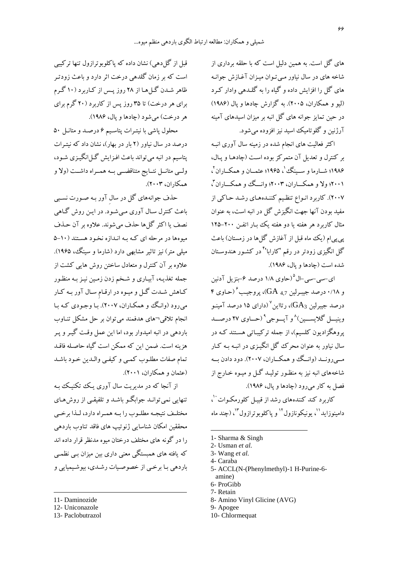های گل است. به همین دلیل است که با حلقه برداری از شاخه های در سال نیاور مبی تـوان میـزان آغـازش جوانـه های گل را افزایش داده و گیاه را به گلیدهی وادار که د (ليو و همكاران، ٢٠٠۵). به گزارش چادها و يال (١٩٨۶) در حین تمایز جوانه های گل انبه بر میزان اسیدهای آمینه آرژنین و گلو تامیک اسید نیز افزوده می شود.

اکثر فعالیت های انجام شده در زمینه سال آوری انبـه بر کنترل و تعدیل آن متمرکز بوده است (چادهـا و پـال، ۱۹۸۶؛ شــارما و ســبنگ ٰ، ۱۹۶۵؛ عثمــان و همكــاران ْ، ۲۰۰۱؛ ولا و همکـــاران، ۲۰۰۳؛ وانــگ وو همکـــاران "، ۲۰۰۷). کاربرد انـواع تنظـیم کننـدههـای رشـد حـاکی از مفيد بودن آنها جهت انگيزش گل در انيه است، به عنوان مثال کاربرد هر هفته یا دو هفته یک بار اتفـن ۲۰۰–۱۲۵ پی پی|م (یک ماه قبل از آغازش گلها در زمستان) باعث گل انگیزی زودتر در رقم 'کارابا'<sup>۴</sup> در کشـور هندوسـتان شده است (جادها و پال، ۱۹۸۶).

ای-سی-سی-ال°(حاوی ۱۸ درصد ۶–بنزیل آدنین و ۰/۱۸ درصد جسرلین GA 4.7)، پروجیب گرحباوی ۴ درصد جیبرلین  $\rm{GA}_3$ )، رتااین $^{\vee}$ (دارای ۱۵ درصد آمینـو وينيسل گلايسسين)^و آيسوجي^(حساوي ٢٧ درصــد یروهگزادیون کلسیم)، از جمله ترکیبـاتی هسـتند کـه در سال نیاور به عنوان محرک گل انگیـزی در انبـه بـه کـار مــي رونــد (وانــگ ووهمكــاران، ٢٠٠٧). دود دادن بــه شاخههای انبه نیز به منظـور تولیـد گـل و میـوه خـارج از فصل به کار میرود (چادها و یال، ۱۹۸۶). کاربرد کند کنندههای رشد از قبیل کلورمکوات ``، دامينو زايد''، يونيكونازول'' و ياكلوبوترازول'''، (چند ماه

- 1- Sharma & Singh
- 2- Usman et al.
- 3- Wang et al.
- 4- Caraba
- 5- ACCL(N-(Phenylmethyl)-1 H-Purine-6amine)
- 6- ProGibb
- 7- Retain
- 8- Amino Vinyl Glicine (AVG)
- 9- Apogee
- 10- Chlormequat

قبل از گل(هی) نشان داده که پاکلوبوترازول تنها ترکیبی است که بر زمان گلدهی درخت اثر دارد و باعث زودتـر ظاهر شـدن گـل هـا از ۲۸ روز يـس از كـاربرد (۱۰ گـرم برای هر درخت) تا ۳۵ روز پس از کاربرد (۲۰ گرم برای هر درخت) مي شود (چادها و يال، ۱۹۸۶).

محلول یاشی با نیتـرات پتاسـیم ۶ درصـد و متانـل ۵۰ درصد در سال نیاور (۲ بار در بهار)، نشان داد که نیته ات پتاسیم در انبه می تواند باعث افـزایش گـلانگیـزی شـود، ولسی متانسل نتسایج متناقضسی بسه همسراه داشست (ولا و همكاران، ٢٠٠٣).

حذف جوانههای گل در سال آور بـه صـورت نسـبی باعث کنترل سـال آوري مـي شـود. در ايـن روش گـاهي نصف يا اكثر گل ها حذف مي شوند. علاوه بر آن حـذف میوهها در مرحله ای کـه بـه انـدازه نخـود هسـتند (١٠-۵ میلی متر) نیز تاثیر مشابهی دارد (شارما و سینگ، ۱۹۶۵). علاوه بر آن کنترل و متعادل ساختن روش هایی کشت از جمله تغذیـه، آبیـاری و شـخم زدن زمـین نیـز بـه منظـور کـاهش شـدت گـل و میـوه در ارقـام سـال آور بـه کـار مي رود (وانگ و همكـاران، ٢٠٠٧). بـا وجـودي كـه بـا انجام تلاقي¬هاي هدفمند مي توان بر حل مشكل تنـاوب باردهی در انبه امیدوار بود، اما این عمل وقت گیـر و پـر هزینه است. ضمن این که ممکن است گیاه حاصـله فاقـد تمام صفات مطلـوب كمـي و كيفـي والـدين خـود باشـد (عثمان و همکاران، ۲۰۰۱).

از آنجا که در مدیریت سال آوری یک تکنیک بـه تنهایی نمی توانـد جوابگـو باشـد و تلفیقـی از روش هـای مختليف نتيجيه مطلبوب رابيه هميراه دارد، ليذا برخبي محققین امکان شناسایی ژنو تیپ های فاقد تناوب باردهی را در گونه های مختلف درختان مبوه مدنظر قرار داده اند که یافته های همبستگی معنی داری بین میزان ببی نظمبی باردهي بـا برخـي از خصوصـيات رشـدي، بيوشـيميايي و

- 11- Daminozide
- 12- Uniconazole
- 13- Paclobutrazol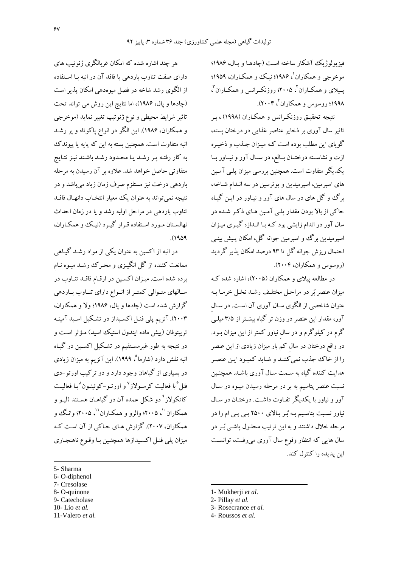فيزيولوژيک آشکار ساخته است (چادهـا و پـال، ۱۹۸۶؛ موخرجي و همکاران'، ۱۹۸۶؛ نيک و همکـاران، ۱۹۵۹؛ یسلای و همکباران <sup>۲</sup>، ۲۰۰۵؛ روزنکبرانس و همکباران <sup>۳</sup>، ۱۹۹۸؛ روسوس و همکاران گې ۲۰۰۴).

نتیجه تحقیـق روزنکـرانس و همکـاران (۱۹۹۸) ، بـر تاثیر سال آوری بر ذخایر عناصر غذایی در درختان پسته، گوپای این مطلب بوده است کـه میـزان جـذب و ذخیـره ازت و نشاسـته درختـان بـالغ، در سـال آور و نيـاور بـا یکدیگر متفاوت است. همچنین بررسی میزان پلـی آمـین های اسپرمین، اسپرمیدین و پوترسین در سه انـدام شـاخه، برگ وگل های در سال های آور و نیـاور در ایـن گیـاه حاکی از بالا بودن مقدار یلبی آمین هـای ذکـر شـده در سال آور در اندام زایشی بود کـه بـا انـدازه گیـری میـزان اسپرمیدین برگ و اسپرمین جوانه گل، امکان پـیش بینـی احتمال ریزش جوانه گل تا ۹۳ درصد امکان پذیر گردید (روسوس و همکاران، ۲۰۰۴).

در مطالعه پیلای و همکاران (۲۰۰۵)، اشاره شده ک ميزان عنصر پُر در مراحل مختلـف رشـد نخـل خرمـا بـه عنوان شاخصی از الگوی سـال آوری آن اسـت. در سـال آور، مقدار این عنصر در وزن تر گیاه بیشـتر از ۳/۵میلـی گرم در کیلوگرم و در سال نیاور کمتر از این میزان بـود. در واقع درختان در سال کم بار میزان زیادی از این عنصر را از خاک جذب نمی کننـد و شـايد کمبـود ايـن عنصـر هدایت کننده گیاه به سـمت سـال آوری باشـد. همچنـین نسبت عنصر يتاسيم به بر در مرحله رسيدن ميـوه در سـال آور و نیاور با یکدیگر تفـاوت داشـت. درختـان در سـال نیاور نسبت پتاسیم به بُر بالای ۲۵۰۰ پی پی ام را در مرحله خلال داشتند و به این ترتیب محلـول پاشـی بُـر در سال هایی که انتظار وقوع سال آوری می رفت، توانست این پدیده را کنترل کند.

هر چند اشاره شده که امکان غربالگری ژنوتیپ های دارای صفت تناوب باردهی یا فاقد آن در انبه بـا اسـتفاده از الگوی رشد شاخه در فصل میوهدهی امکان پذیر است (چادها و پال، ۱۹۸۶)، اما نتایج این روش می تواند تحت تاثیر شرایط محیطی و نوع ژنوتیپ تغییر نماید (موخرجی و همکاران، ۱۹۸۶). این الگو در انواع پاکوتاه و پر رشد انبه متفاوت است. همچنین بسته به این که پایه یا پیوندک به كار رفتـه پـر رشـد يـا محـدود رشـد باشـند نيـز نتـايج متفاوتی حاصل خواهد شد. علاوه بر آن رسیدن به مرحله باردهی درخت نیز مستلزم صرف زمان زیاد میباشد و در نتيجه نمي تواند به عنوان يك معيار انتخـاب دانهـال فاقـد تناوب باردهی در مراحل اولیه رشد و یا در زمان احداث نهالستان مورد استفاده قرار گیرد (نیک و همکاران،  $(1909)$ 

در انبه از اکسین به عنوان یکی از مواد رشـد گیـاهی ممانعت کننده از گل انگیـزی و محـرک رشـد میـوه نـام بر ده شده است. میـزان اکسـین در ارقـام فاقـد تنـاوب در سالهای متوالی کمتر از انواع دارای تناوب باردهی گزارش شده است (چادها و پال، ۱۹۸۶؛ ولا و همکاران، ۲۰۰۳). آنزیم پلی فنـل اکسـیداز در تشـکیل اسـید آمینـه تربيتوفان (پيش ماده ايندول استيک اسيد) مـؤثر اسـت و در نتیجه به طور غیرمسـتقیم در تشـکیل اکسـین در گیـاه انبه نقش دارد (شارما<sup>۵</sup>، ۱۹۹۹). این آنزیم به میزان زیادی در بسیاری از گیاهان وجود دارد و دو ترکیب اورتو -دی فنل<sup>ء</sup>ُبا فعالیت کرسـولاز<sup>۷</sup>و اورتـو–کوئینـون^بـا فعالیـت کاتکولاز<sup>۹</sup> دو شکل عمده آن در گیاهـان هسـتند (ليـو و همکاران ``، ۲۰۰۵؛ والرو و همکـاران'`، ۲۰۰۵؛ وانـگ و همکاران، ۲۰۰۷). گزارش هـاي حـاکي از آن اسـت کـه مزان پلی فنـل اکسـبدازها همچنـین بـا وقـوع ناهنجـاری

- 7- Cresolase
- 8- O-quinone
- 9- Catecholase 10-Lio et al.
- 
- 11-Valero et al.
- 1- Mukherji et al.
- 2- Pillay et al.
- 3- Rosecrance et al.
- 4- Roussos et al.

<sup>5-</sup> Sharma

<sup>6-</sup>O-diphenol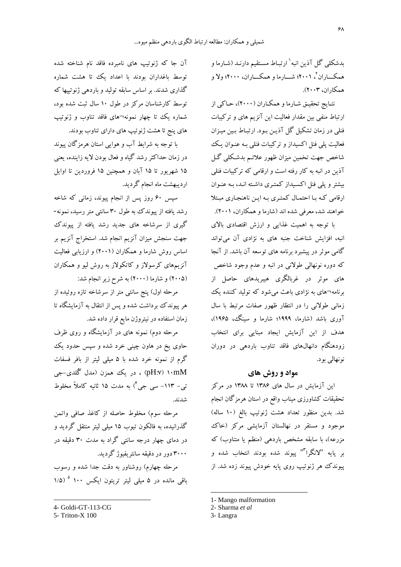بدشکلی گل آذین انبه ٰ ارتبـاط مسـتقیم دارنـد (شـارما و همکـــاران <sup>۲</sup>، ۲۰۰۱؛ شــــارما و همکــــاران، ۲۰۰۰؛ ولا و همکاران، ۲۰۰۳).

نتـايج تحقيـق شـارما و همكـاران (٢٠٠٠)، حـاكي از ارتباط منفی بین مقدار فعالیت این آنزیم های و ترکیبات فنلی در زمان تشکیل گل آذیـن بـود. ارتبـاط بـین میـزان فعالیت پلم فنل اکسیداز و ترکیبات فنلمی بـه عنـوان یـک شاخص جهت تخمین میزان ظهور علائـم بدشـكلي گـل آذین در انبه به کار رفته است و ارقامی که ترکیبات فنلی بیشتر و پلی فنل اکسیداز کمتری داشته انـد، بـه عنـوان ارقامی که با احتمال کمتری به این ناهنجاری مبتلا خواهند شد، معرفی شده اند (شارما و همکاران، ۲۰۰۱).

با توجه به اهمیت غذایی و ارزش اقتصادی بالای انبه، افزایش شناخت جنبه های به نژادی آن میتواند گامی موثر در پیشبرد برنامه های توسعه آن باشد. از آنجا که دوره نونهالی طولانی در انبه و عدم وجود شاخص های موثر در غربالگری هیبریدهای حاصل از برنامه¬های به نژادی باعث می شود که تولید کننده یک زمانی طولانی را در انتظار ظهور صفات مرتبط با سال آوری باشد (شارما، ۱۹۹۹؛ شارما و سینگ، ۱۹۶۵)، هدف از این آزمایش ایجاد مبنایی برای انتخاب زودهنگام دانهالهای فاقد تناوب باردهی در دوران نونهالې بود.

## مواد و روش های

این آزمایش در سال های ۱۳۸۶ تا ۱۳۸۸ در مرکز تحقیقات کشاورزی میناب واقع در استان هرمزگان انجام شد. بدین منظور تعداد هشت ژنوتیپ بالغ (۱۰ ساله) موجود و مستقر در نهالستان آزمایشی مرکز (خاک مزرعه)، با سابقه مشخص باردهی (منظم یا متناوب) که بر يايه "لانگرا"" پيوند شده بودند انتخاب شده و پیوندک هر ژنوتیپ روی یایه خودش پیوند زده شد. از

1- Mango malformation

3-Langra

آن جا که ژنوتیپ های نامبرده فاقد نام شناخته شده توسط باغداران بودند با اعداد یک تا هشت شماره گذاری شدند. بر اساس سابقه تولید و باردهی ژنوتییها که توسط کارشناسان مرکز در طول ۱۰ سال ثبت شده بود، شماره یک تا چهار نمونه¬های فاقد تناوب و ژنوتیپ های پنج تا هشت ژنوتیپ های دارای تناوب بودند.

با توجه به شرایط آب و هوایی استان هرمزگان پیوند در زمان حداکثر رشد گیاه و فعال بودن لایه زاینده، یعنی ۱۵ شهریور تا ۱۵ آبان و همچنین ۱۵ فروردین تا اوایل اردیبهشت ماه انجام گردید.

سپس ۶۰ روز پس از انجام پیوند، زمانبی که شاخه رشد یافته از پیوندک به طول ۳۰ سانتی متر رسید، نمونه-گیری از سرشاخه های جدید رشد یافته از پیوندک جهت سنجش میزان آنزیم انجام شد. استخراج آنزیم بر اساس روش شارما و همکاران (۲۰۰۱) و ارزیابی فعالیت آنزیمهای کرسولاز و کاتکولاز به روش لیو و همکاران (۲۰۰۵) و شارما (۲۰۰۰) به شرح زیر انجام شد:

مرحله اول) ینج سانتی متر از سرشاخه تازه روئیده از هر پیوندک برداشت شده و پس از انتقال به آزمایشگاه تا زمان استفاده در نیتروژن مایع قرار داده شد.

مرحله دوم) نمونه های در آزمایشگاه و روی ظرف حاوی یخ در هاون چینی خرد شده و سپس حدود یک گرم از نمونه خرد شده با ۵ میلی لیتر از بافر فسفات pH:v) ۱۰mM) ، در یک همزن (مدل گُلدی-جی تي- ١١٣- سي جي<sup>٢</sup>) به مدت ١۵ ثانيه كاملاً مخلوط شدند.

مرحله سوم) مخلوط حاصله از كاغذ صافى واتمن گذرانیده، به فالکون تیوب ۱۵ میلی لیتر منتقل گردید و در دمای چهار درجه سانتی گراد به مدت ۳۰ دقیقه در ۳۰۰۰ دور در دقیقه سانتر بفیوژ گردید.

مرحله چهارم) روشناور به دقت جدا شده و رسوب باقی مانده در ۵ میلی لیتر تریتون ایکس ۱۰۰ <sup>۵</sup> (۱/۵

<sup>2-</sup> Sharma et al

<sup>4-</sup> Goldi-GT-113-CG

<sup>5-</sup> Triton-X 100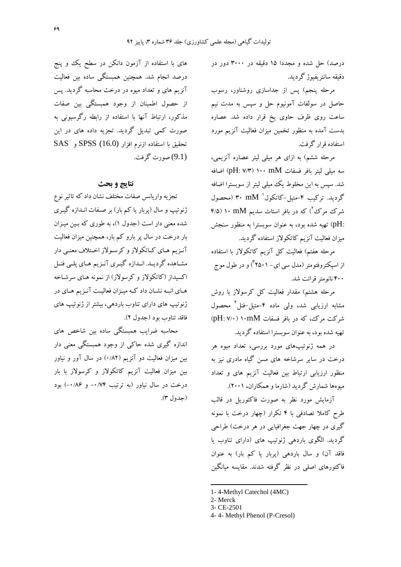درصد) حل شده و مجددا ۱۵ دقیقه در ۳۰۰۰ دور در دقيقه سانتر يفيوژ گرديد.

مرحله ینجم) پس از جداسازی روشناور، رسوب حاصل در سولفات آمونیوم حل و سپس به مدت نیم ساعت روی ظرف حاوی یخ قرار داده شد. عصاره بدست آمده به منظور تخمین میزان فعالیت آنزیم مورد استفاده قرار گرفت.

مرحله ششم) به ازای هر میلی لیتر عصاره آنزیمی، سه میلی لیتر بافر فسفات pH: ۷/۳) ۱۰۰ mM) اضافه شد. سپس به این مخلوط یک میلی لیتر از سوبسترا اضافه گردید. ترکیب ۴-متیل-کاتکول' mM (محصول شرک مرک ٌ) که در بافر استات سدیم ۱۰ mM ۱۰ (۴/۵ :pH) تهیه شده بود، به عنوان سوبسترا به منظور سنجش میزان فعالیت آنزیم کاتکولاز استفاده گردید.

مرحله هفتم) فعالیت کل آنزیم کاتکولاز با استفاده از اسپکتروفتومتر (مدل سی ای– ۲۵۰۱) و در طول موج ۴۰۰ نانومتر قرائت شد.

مرحله هشتم) مقدار فعالیت کل کرسولاز با روش مشابه ارزیابی شد، ولی ماده ۴-متیل-فنل محصول شرکت مرک، که در بافر فسفات pH: ۷/۰) ۱۰mM تهبه شده بود، به عنوان سويسترا استفاده گرديد.

در همه ژنوتیپهای مورد بررسی، تعداد میوه هر درخت در سایر سرشاخه های مسن گیاه مادری نیز به منظور ارزیابی ارتباط بین فعالیت آنزیم های و تعداد میوهها شمارش گردید (شارما و همکاران، ۲۰۰۱).

آزمایش مورد نظر به صورت فاکتوریل در قالب طرح کاملا تصادفی با ۴ تکرار (چهار درخت با نمونه گیری در چهار جهت جغرافیایی در هر درخت) طراحی گردید. الگوی باردهی ژنوتیپ های (دارای تناوب یا فاقد آن) و سال باردهی (پربار یا کم بار) به عنوان فاکتورهای اصلی در نظر گرفته شدند. مقایسه میانگین

های با استفاده از آزمون دانکن در سطح یک وو پنج درصد انجام شد. همچنین همبستگی ساده بین فعالیت آنزیم های و تعداد میوه در درخت محاسبه گردید. پس از حصول اطمینان از وجود همبستگی بین صفات مذکور، ارتباط آنها با استفاده از رابطه رگرسیونی به صورت کمی تبدیل گردید. تجزیه داده های در این تحقيق با استفاده ازنرم افزار SPSS (16.0) و SAS (9.1) صورت گرفت.

### نتايج و بحث

تجزیه واریانس صفات مختلف نشان داد که تاثیر نوع ژنوتیپ و سال (پربار یا کم بار) بر صـفات انـدازه گیـری شده معنی دار است (جدول ۱)، به طوری که بین میزان بار درخت در سال پر بارو کم بار، همچنین میزان فعالیت آنـزیم هـای کـاتکولاز و کرسـولاز اخـتلاف معنـی دار مشـاهده گرديـد. انـدازه گيـري آنـزيم هـاي پلـي فنـل اکسیداز (کاتکولاز و کرسولاز) از نمونه هـای سرشـاخه هـاي انبـه نشـان داد كـه ميـزان فعاليـت آنـزيم هـاي در ژنوتیپ های دارای تناوب باردهی، بیشتر از ژنوتیپ های فاقد تناوب بود (جدول ٢).

.<br>محاسبه ضرایب همبستگی ساده بین شاخص های اندازه گیری شده حاکمی از وجود همبستگی معنی دار بین میزان فعالیت دو آنزیم (۰/۸۲) در سال آور و نیاور بین میزان فعالیت آنزیم کاتکولاز و کرسولاز با بار درخت در سال نیاور (به ترتیب ۰/۷۴– و ۰/۸۶) بود (جدول ٣).

<sup>1-4-</sup>Methyl Catechol (4MC)

<sup>2-</sup> Merck

<sup>3-</sup> CE-2501

<sup>4-4-</sup> Methyl Phenol (P-Cresol)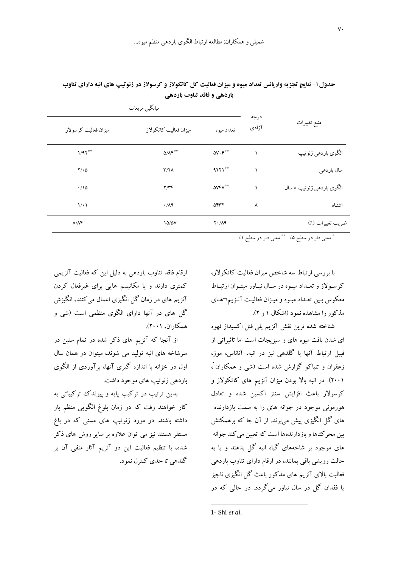|                                                      | درجه  | ميانگين مربعات                    |                                    |                      |  |
|------------------------------------------------------|-------|-----------------------------------|------------------------------------|----------------------|--|
| منبع تغييرات                                         | آزادی | تعداد ميوه                        | میزان فعالیت کاتکولاز              | ميزان فعاليت كرسولاز |  |
| الگوي باردهي ژنوتيپ                                  |       | $\Delta V\cdot\varphi^{\ast\ast}$ | $\Delta/\Lambda \mathfrak{F}^{**}$ | $1/91***$            |  |
| سال باردهي                                           |       | $9771$ **                         | Y/Y                                | $Y/\cdot \Delta$     |  |
| الگوي باردهي ژنوتيپ × سال                            |       | <b>AVFV**</b>                     | Y/YF                               | $\cdot$ 10           |  |
| اشتباه                                               | ٨     | 5447                              | $\cdot$ /19                        | 1/1                  |  |
| ضريب تغييرات (٪)                                     |       | $Y \cdot / \Lambda$ 9             | 10/2V                              | $\Lambda/\Lambda f$  |  |
| Mr. Mr.<br><b>Service Contract Contract Contract</b> |       |                                   |                                    |                      |  |

جدول ۱- نتایج تجزیه واریانس تعداد میوه و میزان فعالیت کل کاتکولاز و کرسولاز در ژنوتیپ های انبه دارای تناوب باردهي و فاقد تناوب باردهي

\* معنى دار در سطح ۵٪ \*\* معنى دار در سطح ۱٪

با بررسی ارتباط سه شاخص میزان فعالیت کاتکولاز، کرسولاز و تعبداد میوه در سیال نیاور میتوان ارتباط معکوس بین تعداد میوه و میزان فعالیت آنـزیم¬های مذکور را مشاهده نمود (اشکال ۱ و ۲).

شناخته شده ترين نقش آنزيم يلي فنل اكسيداز قهوه ای شدن بافت میوه های و سبزیجات است اما تاثیراتی از قبیل ارتباط آنها با گلدهی نیز در انبه، آناناس، موز، زعفران و تنباکو گزارش شده است (شی و همکاران'، (۲۰۰۱). در انبه بالا بودن میزان آنزیم های کاتکولاز و كرسولاز باعث افزايش سنتز اكسين شده و تعادل هورمونی موجود در جوانه های را به سمت بازدارنده های گل انگیزی پیش می برند. از آن جا که برهمکنش بین محرک ها و بازدارندهها است که تعیین می کند جوانه های موجود بر شاخههای گیاه انبه گل بدهند و با به حالت رویشی باقی بمانند، در ارقام دارای تناوب باردهی فعالیت بالای آنزیم های مذکور باعث گل انگیزی ناچیز یا فقدان گل در سال نیاور میگردد. در حالی که در

ارقام فاقد تناوب باردهی به دلیل این که فعالیت آنزیمی کمتری دارند و یا مکانیسم هایی برای غیرفعال کردن آنزیم های در زمان گل انگیزی اعمال می کنند، انگیزش گل های در آنها دارای الگوی منظمی است (شی و همكاران، ۲۰۰۱).

از آنجا که آنزیم های ذکر شده در تمام سنین در سرشاخه های انبه تولید می شوند، میتوان در همان سال اول در خزانه با اندازه گیری آنها، برآوردی از الگوی باردهي ژنو تيپ هاي موجود داشت.

بدین ترتیب در ترکیب پایه و پیوندک ترکیباتی به کار خواهند رفت که در زمان بلوغ الگویی منظم بار داشته باشند. در مورد ژنوتیپ های مسنی که در باغ مستقر هستند نیز می توان علاوه بر سایر روش های ذکر شده، با تنظیم فعالیت این دو آنزیم آثار منفی آن بر گلدهی تا حدی کنترل نمود.

1- Shi et al.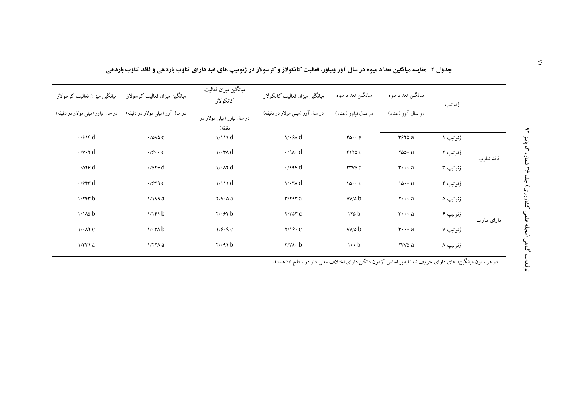|                                                                     | میانگین میزان فعالیت کرسولاز میانگین میزان فعالیت کرسولاز | ميانگين ميزان فعاليت<br>كاتكو لاز  | ميانگين ميزان فعاليت كاتكولاز                   | میانگین تعداد میوه                             | میانگین تعداد میوه             | ژنوتيپ   |             |  |
|---------------------------------------------------------------------|-----------------------------------------------------------|------------------------------------|-------------------------------------------------|------------------------------------------------|--------------------------------|----------|-------------|--|
| در سال آور (میلی مولار در دقیقه) در سال نیاور (میلی مولار در دقیقه) |                                                           | در سال نیاور (میلبی مولار در       | در سال آور (میلبی مولار در دقیقه)               | در سال نیاور (عدد)                             | در سال آور (عدد)               |          |             |  |
|                                                                     |                                                           | دقيقه)                             |                                                 |                                                |                                |          |             |  |
| $\cdot$ / $\epsilon$ $\uparrow$ rd                                  | $\cdot$ / $\triangle$ $\triangle$ $\triangle$             | 1/111 d                            | 1/3.6                                           | $\mathbf{y} \cdot \mathbf{y} \cdot \mathbf{a}$ | $r$ ۶۲۵ $a$                    | ژنوتیپ ۱ |             |  |
| $\cdot$ / $\vee$ $\cdot$ $\uparrow$ d                               | $\cdot$ / $\circ$ $\cdot$ $\cdot$ $\circ$                 | $\sqrt{\cdot \mathsf{r}} \wedge d$ | $\cdot$ /9 $\wedge$ d                           | ۲۱۲۵ a                                         | $\mathsf{rad}\cdot\mathsf{a}$  | ژنوتیپ ۲ | فاقد تناوب  |  |
| $\cdot$ /079 $d$                                                    | $\cdot$ /079 $d$                                          | $\sqrt{4}$                         | $\cdot$ /99 $\mathfrak{r}$ d                    | <b>TTVDa</b>                                   | $\mathbf{r} \cdots \mathbf{a}$ | ژنوتیپ ۳ |             |  |
| $\cdot$ /۶۴۳ $d$                                                    | $\cdot$ / $5$ ۲۹ $C$                                      | 1/111 d                            | $\sqrt{\cdot \mathsf{r}} \wedge d$              | $10 \cdot a$                                   | $10 \cdot a$                   | ژنوتیپ ۴ |             |  |
| $1/7$ $F$ $r$ $b$                                                   | 1/199a                                                    | $Y/Y \cdot \Delta a$               | $\mathbf{r}/\mathbf{r}$                         | $AV/\delta b$                                  | $\mathbf{y} \cdots \mathbf{a}$ | ژنوتیپ ۵ |             |  |
| 1/100 b                                                             | 1/15                                                      | $\mathbf{y} \cdot \mathbf{y}$ b    | $Y/T$ $\Delta Y$ $C$                            | 110b                                           | $\mathbf{r}\cdots\mathbf{a}$   | ژنوتیپ ۶ | دارای تناوب |  |
| $1/1$ $\lambda$ $\tau$ $C$                                          | $1/\cdot$ ۳۸ b                                            | 1/9.9c                             | $Y/19 \cdot C$                                  | $VV/\Delta b$                                  | $\mathbf{r} \cdots \mathbf{a}$ | ژنوتیپ ۷ |             |  |
| $1/\mathbf{r}$ a                                                    | $1/77A$ a                                                 | $\mathbf{y} \cdot \mathbf{A}$      | $\mathbf{y} \times \mathbf{y} \cdot \mathbf{b}$ | $\cdots b$                                     | rrvs a                         | ژنوتیپ ۸ |             |  |
|                                                                     |                                                           |                                    |                                                 |                                                |                                |          |             |  |

جدول ۲- مقایسه میانگین تعداد میوه در سال آور ونیاور، فعالیت کاتکولاز و کرسولاز در ژنوتیپ های انبه دارای تناوب باردهی و فاقد تناوب باردهی

در هر ستون میانگین¬های دارای حروف نامشابه بر اساس آزمون دانکن دارای اختلاف معنی دار در سطح ۵٪ هستند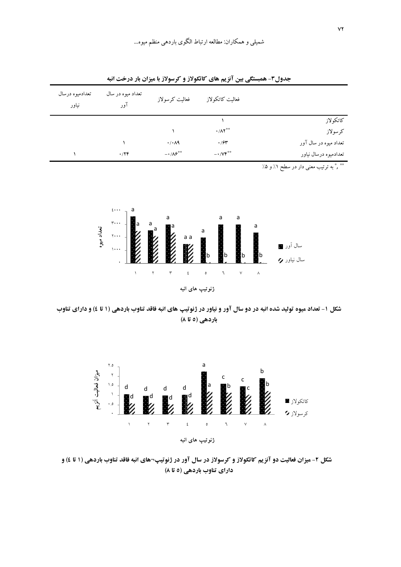| تعدادميوه درسال<br>نياور | تعداد میوه در سال<br>آور | فعاليت كرسولاز               | فعاليت كاتكولاز                 |                       |
|--------------------------|--------------------------|------------------------------|---------------------------------|-----------------------|
|                          |                          |                              |                                 | كاتكولاز              |
|                          |                          |                              | $\cdot/\Lambda$ Y <sup>**</sup> | كرسولاز               |
|                          |                          | $\cdot$ / $\cdot$ / $\vee$   | $\cdot$ / $\gamma$ ۳            | تعداد میوه در سال آور |
|                          | .779                     | $-1/\lambda$ ۶ <sup>**</sup> | $-1/VF^{\ast\ast}$              | تعدادميوه درسال نياور |

جدول۳- همبستگی بین آنزیم های کاتکولاز و کرسولاز با میزان بار درخت انبه

\*\* \* \* به ترتیب معنی دار در سطح ۱٪ و ۵٪



شکل ۱- تعداد میوه تولید شده انبه در دو سال آور و نیاور در ژنوتیپ های انبه فاقد تناوب باردهی (۱ تا ٤) و دارای تناوب باردهی (٥ تا ٨)



شکل ۲- میزان فعالیت دو آنزیم کاتکولاز و کرسولاز در سال آور در ژنوتیپ¬های انبه فاقد تناوب باردهی (۱ تا ٤) و دارای تناوب باردهی (٥ تا ٨)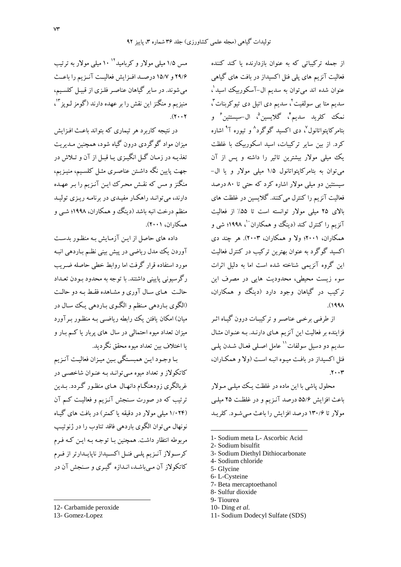از جمله ترکیباتی که به عنوان بازدارنده یا کند کننده فعالیت آنزیم های پلی فنل اکسیداز در بافت های گیاهی عنوان شده اند می توان به سدیم ال-آسکوربیک اسید'، سدیم متا ہے سولفیت کی سدیم دی اتیل دی تیو کربنات کی نمك كلريد سديمً، گلايسينُ، ال-سيستئينُ و ىتام<sub>ىر</sub> كايتواتانول<sup>0</sup>، دى اكسيد گوگرد<sup>^</sup> و تيوره آ<sup>٩</sup> اشاره کرد. از بین سایر ترکیبات، اسید اسکوربیک با غلظت یک میلی مولار بیشترین تاثیر را داشته و پس از آن می توان به بتامرکاپتواتانول ۱/۵ میلی مولار و یا ال-سیستئین دو میلی مولار اشاره کرد که حتی تا ۸۰ درصد فعالیت آنزیم را کنترل می کنند. گلایسین در غلظت های بالای ۲۵ میلی مولار توانسته است تا ۵۵٪ از فعالیت آنزیم را کنترل کند (دینگ و همکاران ۵۰ ۱۹۹۸؛ شی و همکاران، ۲۰۰۱؛ ولا و همکاران، ۲۰۰۳). هر چند دی اکسید گوگرد به عنوان بهترین ترکیب در کنترل فعالیت این گروه آنزیمی شناخته شده است اما به دلیل اثرات سوء زیست محیطی، محدودیت هایی در مصرف این ترکیب در گیاهان وجود دارد (دینگ و همکاران،  $\Lambda$ ۹۹۸).

از طرفبي برخبي عناصـر و تركيبـات درون گيـاه اثـر فزاینده بر فعالیت این آنزیم های دارنـد. بـه عنـوان مثـال سديم دو دسيل سولفات'' عامل اصلي فعـال شـدن يلـي فنل اکسیداز در بافت میوه انبـه اسـت (ولا و همکـاران،  $.7.7$ 

محلول پاشی با این ماده در غلظت یک میلے مو لار باعث افزایش ۵۵/۶ درصد آنـزیم و در غلظـت ۲۵ میلـی مولار تا ۱۳۰/۶ درصد افزایش را باعث مبی شود. کلریـد

- 1- Sodium meta L- Ascorbic Acid
- 2- Sodium bisulfit
- 3- Sodium Diethyl Dithiocarbonate
- 4- Sodium chloride
- 5- Glycine
- 6-L-Cysteine
- 7- Beta mercaptoethanol
- 8- Sulfur dioxide
- 9-Tiourea
- 10- Ding  $et$  al.
- 11- Sodium Dodecyl Sulfate (SDS)

مس ۱/۵ میلی مولار و کربامید'' ۱۰ میلی مولار به ترتیب ۲۹/۶ و ۱۵/۷ درصـد افـزايش فعاليـت آنـزيم را باعـث می شوند. در سایر گیاهان عناصه فلیزی از قیبل کلسیم، منيزيم و منگنز اين نقش را بر عهده دارند (گومز لـويز "'،  $(1.1)$ 

در نتیجه کاربرد هر تیماری که بتواند باعث افیزایش مبزان مواد گوگردی درون گیاه شود، همچنین مـدیریت تغذيـه در زمـان گـل انگيـزي يـا قبـل از آن و تـلاش در جهت پایین نگه داشـتن عناصـری مثـل کلسـیم، منیـزیم، منگنز و مس که نقش محرک ایـن آنـزیم را بـر عهـده دارند، می توانید راهکبار مفیلهی در برنامیه ریزی تولیید منظم درخت انبه باشد (دینگ و همکاران، ۱۹۹۸؛ شبی و همكاران، ۲۰۰۱).

داده های حاصل از ایـن آزمـایش بـه منظـور بدسـت آوردن یک مدل ریاضی در پیش بینی نظـم بـاردهی انبـه مورد استفاده قرار گرفت اما روابط خطی حاصله ضـریب رگرسیونی پایینی داشتند. با توجه به محدود بـودن تعـداد حالت هياي سال آوري و مشاهده فقبط به دو حالت (الگوي بـاردهي مـنظم و الگـوي بـاردهي يـك سـال در میان) امکان یافتن یک رابطه ریاضبی بـه منظـور بـر آورد میزان تعداد میوه احتمالی در سال های پربار یا کـم بـار و يا اختلاف بين تعداد ميوه محقق نگرديد.

بـا وجـود ايـن همبسـتگي بـين ميـزان فعاليـت آنـزيم کاتکولاز و تعداد میوه مبی توانید بیه عنبوان شاخصبی در غربالگری زودهنگـام دانهـال هـای منظـور گـردد. بـدین ترتیب که در صورت سنجش آنـزیم و فعالیـت کـم آن (۱/۰۲۴ میلی مولار در دقیقه یا کمتر) در بافت های گیاه نونهال مي توان الگوي باردهي فاقد تناوب را در ژنو تيپ مربوطه انتظار داشت. همچنین با توجیه به این کیه فیرم کرسولاز آنـزیم پلـی فنـل اکسـیداز ناپایـدارتر از فـرم کاتکولاز آن مبي باشـد، انـدازه گيـري و سـنجش آن در

<sup>12-</sup> Carbamide peroxide

<sup>13-</sup> Gomez-Lopez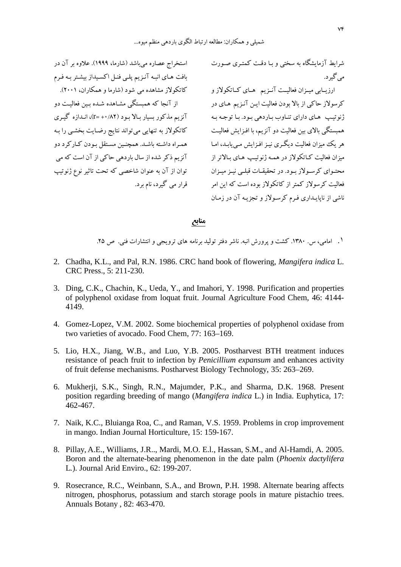شرایط آزمایشگاه به سختی و بـا دقـت کمتـری صـورت استخراج عصاره میباشد (شارما، ۱۹۹۹). علاوه بر آن در ژنوتیپ های دارای تناوب بـاردهی بـود. بـا توجـه بـه آنزیم مذکور بسیار بـالا بـود (۲۸۲+ =۲)، انـدازه گیـری بافت هـاى انبـه آنـزيم پلـى فنـل اكسـيداز بيشـتر بـه فـرم کاتکولاز مشاهده می شود (شارما و همکاران، ۲۰۰۱). از آنجا که همبستگی مشـاهده شـده بـین فعالیـت دو کاتکولاز به تنهایی میتواند نتایج رضـایت بخشـی را بـه همـراه داشـته باشـد. همچنـین مسـتقل بـودن كـاركرد دو آنزیم ذکر شده از سال باردهی حاکی از آن است که می توان از آن به عنوان شاخصی که تحت تاثیر نوع ژنوتیپ قرار می گیرد، نام برد.

می گیر د.

ارزیــابی میــزان فعالیــت آنــزیم هــای کــاتکولاز و كرسولاز حاكي از بالا بودن فعاليت ايـن آنـزيم هـاي در همبستگی بالای بین فعالیت دو آنزیم، با افـزایش فعالیـت هر یک میزان فعالیت دیگری نیـز افـزایش مـییابـد، امـا میزان فعالیت کــاتکولاز در همــه ژنوتیــپ هــای بــالاتر از محتـوای کرسـولاز بـود. در تحقیقــات قبلــی نیــز میــزان فعالیت کرسولاز کمتر از کاتکولاز بوده است که این امر ناشی از ناپایـداری فـرم کرسـولاز و تجزیـه آن در زمـان

#### منابع

۱. امامی، س. ۱۳۸۰. کشت و پرورش انبه. ناشر دفتر تولید برنامه های ترویجی و انتشارات فنی. ص ۲۵.

- 2. Chadha, K.L., and Pal, R.N. 1986. CRC hand book of flowering, *Mangifera indica* L. CRC Press., 5: 211-230.
- 3. Ding, C.K., Chachin, K., Ueda, Y., and Imahori, Y. 1998. Purification and properties of polyphenol oxidase from loquat fruit. Journal Agriculture Food Chem, 46: 4144- 4149.
- 4. Gomez-Lopez, V.M. 2002. Some biochemical properties of polyphenol oxidase from two varieties of avocado. Food Chem, 77: 163–169.
- 5. Lio, H.X., Jiang, W.B., and Luo, Y.B. 2005. Postharvest BTH treatment induces resistance of peach fruit to infection by *Penicillium expansum* and enhances activity of fruit defense mechanisms. Postharvest Biology Technology, 35: 263–269.
- 6. Mukherji, S.K., Singh, R.N., Majumder, P.K., and Sharma, D.K. 1968. Present position regarding breeding of mango (*Mangifera indica* L.) in India. Euphytica, 17: 462-467.
- 7. Naik, K.C., Bluianga Roa, C., and Raman, V.S. 1959. Problems in crop improvement in mango. Indian Journal Horticulture, 15: 159-167.
- 8. Pillay, A.E., Williams, J.R.., Mardi, M.O. E.l., Hassan, S.M., and Al-Hamdi, A. 2005. Boron and the alternate-bearing phenomenon in the date palm (*Phoenix dactylifera*  L*.*). Journal Arid Enviro., 62: 199-207.
- 9. Rosecrance, R.C., Weinbann, S.A., and Brown, P.H. 1998. Alternate bearing affects nitrogen, phosphorus, potassium and starch storage pools in mature pistachio trees. Annuals Botany , 82: 463-470.